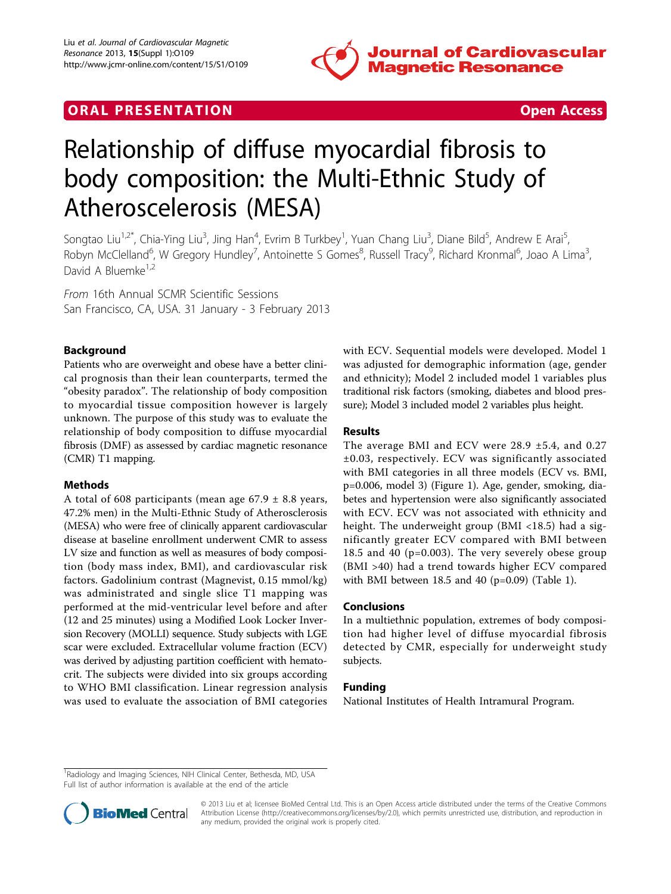

# **ORAL PRESENTATION CONSUMING ACCESS**



# Relationship of diffuse myocardial fibrosis to body composition: the Multi-Ethnic Study of Atheroscelerosis (MESA)

Songtao Liu<sup>1,2\*</sup>, Chia-Ying Liu<sup>3</sup>, Jing Han<sup>4</sup>, Evrim B Turkbey<sup>1</sup>, Yuan Chang Liu<sup>3</sup>, Diane Bild<sup>5</sup>, Andrew E Arai<sup>5</sup> , Robyn McClelland<sup>6</sup>, W Gregory Hundley<sup>7</sup>, Antoinette S Gomes<sup>8</sup>, Russell Tracy<sup>9</sup>, Richard Kronmal<sup>6</sup>, Joao A Lima<sup>3</sup> , David A Bluemke<sup>1,2</sup>

From 16th Annual SCMR Scientific Sessions San Francisco, CA, USA. 31 January - 3 February 2013

# Background

Patients who are overweight and obese have a better clinical prognosis than their lean counterparts, termed the "obesity paradox". The relationship of body composition to myocardial tissue composition however is largely unknown. The purpose of this study was to evaluate the relationship of body composition to diffuse myocardial fibrosis (DMF) as assessed by cardiac magnetic resonance (CMR) T1 mapping.

## Methods

A total of 608 participants (mean age  $67.9 \pm 8.8$  years, 47.2% men) in the Multi-Ethnic Study of Atherosclerosis (MESA) who were free of clinically apparent cardiovascular disease at baseline enrollment underwent CMR to assess LV size and function as well as measures of body composition (body mass index, BMI), and cardiovascular risk factors. Gadolinium contrast (Magnevist, 0.15 mmol/kg) was administrated and single slice T1 mapping was performed at the mid-ventricular level before and after (12 and 25 minutes) using a Modified Look Locker Inversion Recovery (MOLLI) sequence. Study subjects with LGE scar were excluded. Extracellular volume fraction (ECV) was derived by adjusting partition coefficient with hematocrit. The subjects were divided into six groups according to WHO BMI classification. Linear regression analysis was used to evaluate the association of BMI categories with ECV. Sequential models were developed. Model 1 was adjusted for demographic information (age, gender and ethnicity); Model 2 included model 1 variables plus traditional risk factors (smoking, diabetes and blood pressure); Model 3 included model 2 variables plus height.

#### Results

The average BMI and ECV were 28.9 ±5.4, and 0.27 ±0.03, respectively. ECV was significantly associated with BMI categories in all three models (ECV vs. BMI, p=0.006, model 3) (Figure [1\)](#page-1-0). Age, gender, smoking, diabetes and hypertension were also significantly associated with ECV. ECV was not associated with ethnicity and height. The underweight group (BMI <18.5) had a significantly greater ECV compared with BMI between 18.5 and 40 (p=0.003). The very severely obese group (BMI >40) had a trend towards higher ECV compared with BMI between 18.5 and 40 (p=0.09) (Table [1\)](#page-1-0).

## Conclusions

In a multiethnic population, extremes of body composition had higher level of diffuse myocardial fibrosis detected by CMR, especially for underweight study subjects.

#### Funding

National Institutes of Health Intramural Program.

<sup>&</sup>lt;sup>1</sup>Radiology and Imaging Sciences, NIH Clinical Center, Bethesda, MD, USA Full list of author information is available at the end of the article



© 2013 Liu et al; licensee BioMed Central Ltd. This is an Open Access article distributed under the terms of the Creative Commons Attribution License [\(http://creativecommons.org/licenses/by/2.0](http://creativecommons.org/licenses/by/2.0)), which permits unrestricted use, distribution, and reproduction in any medium, provided the original work is properly cited.